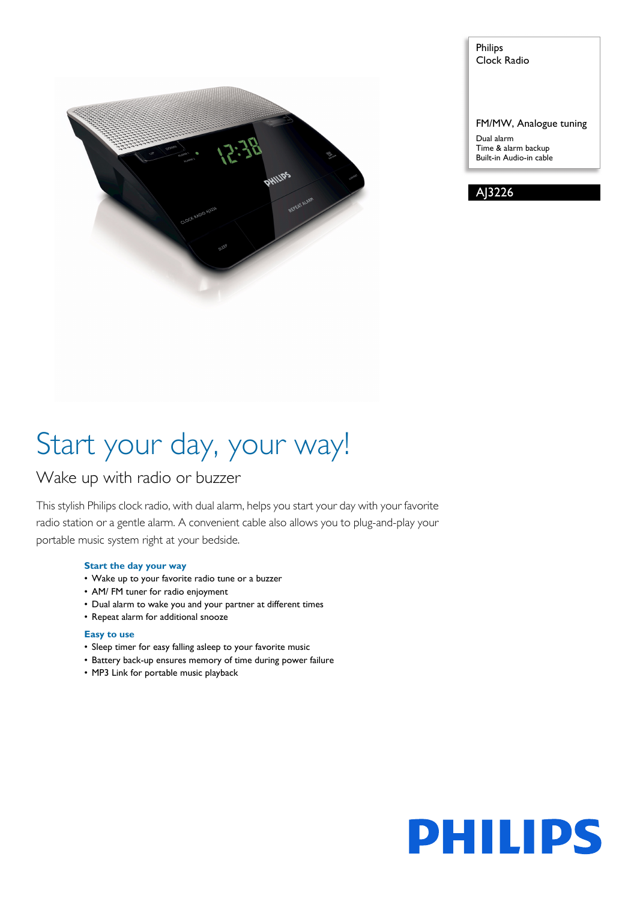

Philips Clock Radio

FM/MW, Analogue tuning

Dual alarm Time & alarm backup Built-in Audio-in cable

AJ3226

# Start your day, your way!

### Wake up with radio or buzzer

This stylish Philips clock radio, with dual alarm, helps you start your day with your favorite radio station or a gentle alarm. A convenient cable also allows you to plug-and-play your portable music system right at your bedside.

#### **Start the day your way**

- Wake up to your favorite radio tune or a buzzer
- AM/ FM tuner for radio enjoyment
- Dual alarm to wake you and your partner at different times
- Repeat alarm for additional snooze

#### **Easy to use**

- Sleep timer for easy falling asleep to your favorite music
- Battery back-up ensures memory of time during power failure
- MP3 Link for portable music playback

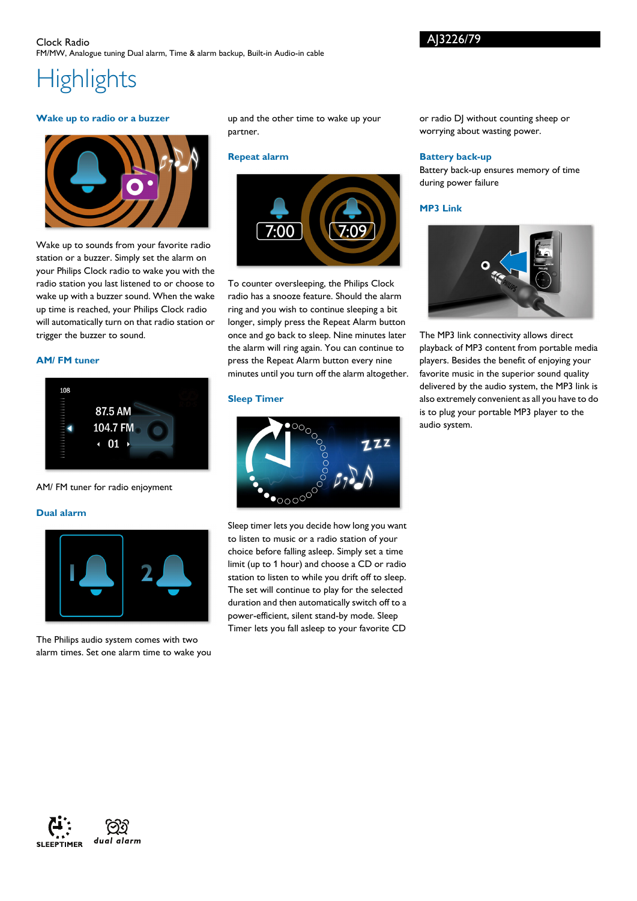## **Highlights**

#### **Wake up to radio or a buzzer**



Wake up to sounds from your favorite radio station or a buzzer. Simply set the alarm on your Philips Clock radio to wake you with the radio station you last listened to or choose to wake up with a buzzer sound. When the wake up time is reached, your Philips Clock radio will automatically turn on that radio station or trigger the buzzer to sound.

#### **AM/ FM tuner**



AM/ FM tuner for radio enjoyment

#### **Dual alarm**



The Philips audio system comes with two alarm times. Set one alarm time to wake you up and the other time to wake up your partner.

#### **Repeat alarm**



To counter oversleeping, the Philips Clock radio has a snooze feature. Should the alarm ring and you wish to continue sleeping a bit longer, simply press the Repeat Alarm button once and go back to sleep. Nine minutes later the alarm will ring again. You can continue to press the Repeat Alarm button every nine minutes until you turn off the alarm altogether.

#### **Sleep Timer**



Sleep timer lets you decide how long you want to listen to music or a radio station of your choice before falling asleep. Simply set a time limit (up to 1 hour) and choose a CD or radio station to listen to while you drift off to sleep. The set will continue to play for the selected duration and then automatically switch off to a power-efficient, silent stand-by mode. Sleep Timer lets you fall asleep to your favorite CD or radio DJ without counting sheep or worrying about wasting power.

#### **Battery back-up**

AJ3226/79

Battery back-up ensures memory of time during power failure

#### **MP3 Link**



The MP3 link connectivity allows direct playback of MP3 content from portable media players. Besides the benefit of enjoying your favorite music in the superior sound quality delivered by the audio system, the MP3 link is also extremely convenient as all you have to do is to plug your portable MP3 player to the audio system.